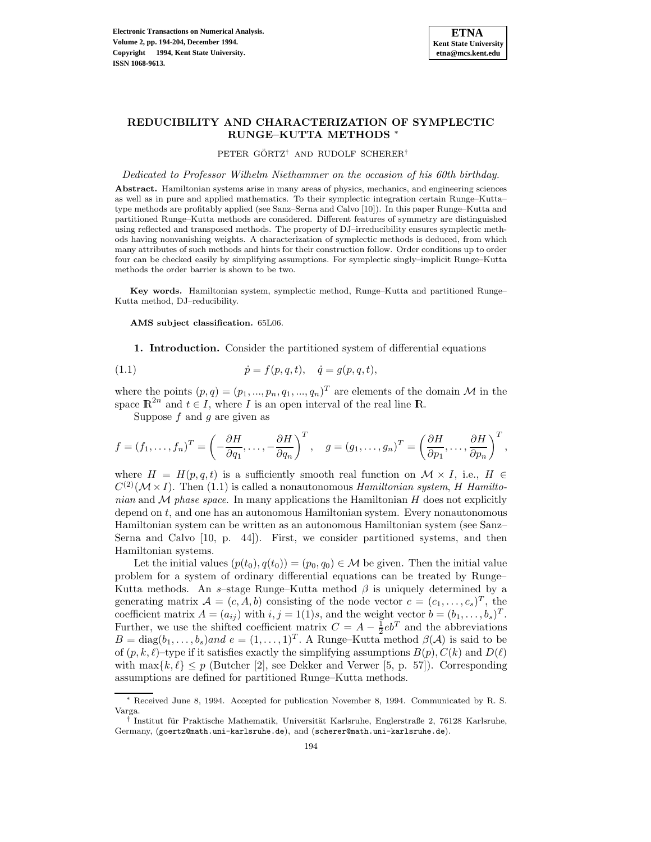

# **REDUCIBILITY AND CHARACTERIZATION OF SYMPLECTIC RUNGE–KUTTA METHODS** <sup>∗</sup>

PETER GÖRTZ<sup>†</sup> AND RUDOLF SCHERER<sup>†</sup>

Dedicated to Professor Wilhelm Niethammer on the occasion of his 60th birthday.

**Abstract.** Hamiltonian systems arise in many areas of physics, mechanics, and engineering sciences as well as in pure and applied mathematics. To their symplectic integration certain Runge–Kutta– type methods are profitably applied (see Sanz–Serna and Calvo [10]). In this paper Runge–Kutta and partitioned Runge–Kutta methods are considered. Different features of symmetry are distinguished using reflected and transposed methods. The property of DJ–irreducibility ensures symplectic methods having nonvanishing weights. A characterization of symplectic methods is deduced, from which many attributes of such methods and hints for their construction follow. Order conditions up to order four can be checked easily by simplifying assumptions. For symplectic singly–implicit Runge–Kutta methods the order barrier is shown to be two.

**Key words.** Hamiltonian system, symplectic method, Runge–Kutta and partitioned Runge– Kutta method, DJ–reducibility.

**AMS subject classification.** 65L06.

**1. Introduction.** Consider the partitioned system of differential equations

(1.1) 
$$
\dot{p} = f(p, q, t), \quad \dot{q} = g(p, q, t),
$$

where the points  $(p,q)=(p_1,...,p_n,q_1,...,q_n)^T$  are elements of the domain M in the space  $\mathbb{R}^{2n}$  and  $t \in I$ , where I is an open interval of the real line  $\mathbb{R}$ .

Suppose  $f$  and  $g$  are given as

$$
f = (f_1, ..., f_n)^T = \left(-\frac{\partial H}{\partial q_1}, ..., -\frac{\partial H}{\partial q_n}\right)^T
$$
,  $g = (g_1, ..., g_n)^T = \left(\frac{\partial H}{\partial p_1}, ..., \frac{\partial H}{\partial p_n}\right)^T$ ,

where  $H = H(p,q,t)$  is a sufficiently smooth real function on  $\mathcal{M} \times I$ , i.e.,  $H \in$  $C^{(2)}(\mathcal{M}\times I)$ . Then (1.1) is called a nonautonomous Hamiltonian system, H Hamiltonian and  $\mathcal M$  phase space. In many applications the Hamiltonian  $H$  does not explicitly depend on  $t$ , and one has an autonomous Hamiltonian system. Every nonautonomous Hamiltonian system can be written as an autonomous Hamiltonian system (see Sanz– Serna and Calvo [10, p. 44]). First, we consider partitioned systems, and then Hamiltonian systems.

Let the initial values  $(p(t_0),q(t_0)) = (p_0,q_0) \in \mathcal{M}$  be given. Then the initial value problem for a system of ordinary differential equations can be treated by Runge– Kutta methods. An s–stage Runge–Kutta method  $\beta$  is uniquely determined by a generating matrix  $\mathcal{A} = (c, A, b)$  consisting of the node vector  $c = (c_1, \ldots, c_s)^T$ , the coefficient matrix  $A = (a_{ij})$  with  $i, j = 1(1)s$ , and the weight vector  $b = (b_1, \ldots, b_s)^T$ . Further, we use the shifted coefficient matrix  $C = A - \frac{1}{2}eb^T$  and the abbreviations  $B = \text{diag}(b_1,\ldots,b_s)$ and  $e = (1,\ldots,1)^T$ . A Runge–Kutta method  $\beta(\mathcal{A})$  is said to be of  $(p, k, \ell)$ –type if it satisfies exactly the simplifying assumptions  $B(p), C(k)$  and  $D(\ell)$ with  $\max\{k,\ell\} \leq p$  (Butcher [2], see Dekker and Verwer [5, p. 57]). Corresponding assumptions are defined for partitioned Runge–Kutta methods.

<sup>∗</sup> Received June 8, 1994. Accepted for publication November 8, 1994. Communicated by R. S. Varga.

<sup>&</sup>lt;sup>†</sup> Institut für Praktische Mathematik, Universität Karlsruhe, Englerstraße 2, 76128 Karlsruhe, Germany, (goertz@math.uni-karlsruhe.de), and (scherer@math.uni-karlsruhe.de).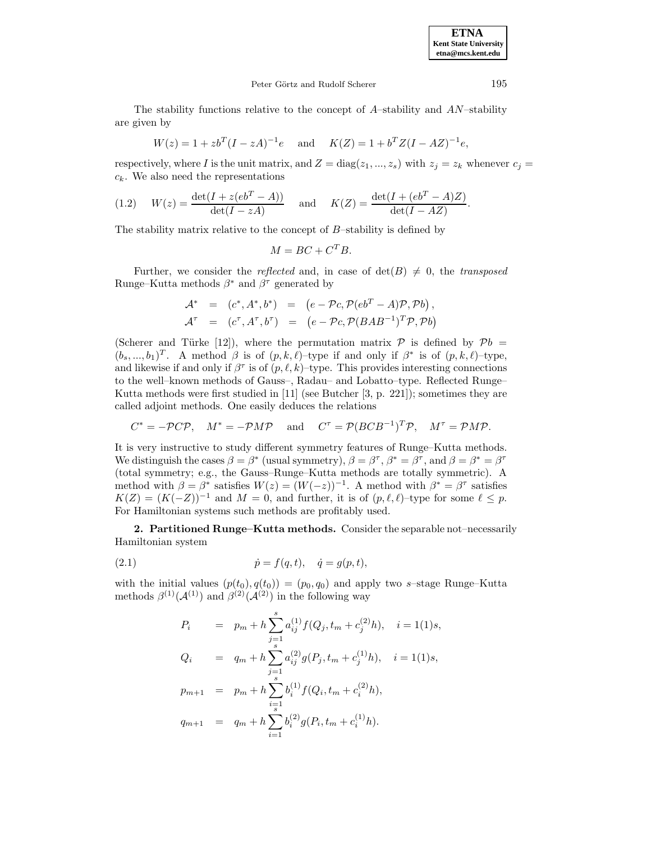**ETNA Kent State University etna@mcs.kent.edu**

### Peter Görtz and Rudolf Scherer 195

The stability functions relative to the concept of  $A$ –stability and  $AN$ –stability are given by

$$
W(z) = 1 + zb^{T}(I - zA)^{-1}e \text{ and } K(Z) = 1 + b^{T}Z(I - AZ)^{-1}e,
$$

respectively, where I is the unit matrix, and  $Z = diag(z_1, ..., z_s)$  with  $z_j = z_k$  whenever  $c_j =$  $c_k$ . We also need the representations

(1.2) 
$$
W(z) = \frac{\det(I + z(eb^T - A))}{\det(I - zA)}
$$
 and  $K(Z) = \frac{\det(I + (eb^T - A)Z)}{\det(I - AZ)}$ .

The stability matrix relative to the concept of  $B$ -stability is defined by

$$
M = BC + C^T B.
$$

Further, we consider the *reflected* and, in case of  $\det(B) \neq 0$ , the *transposed* Runge–Kutta methods  $\beta^*$  and  $\beta^{\tau}$  generated by

$$
\begin{array}{rcl}\n\mathcal{A}^* & = & (c^*, A^*, b^*) = & \left( e - \mathcal{P}c, \mathcal{P}(eb^T - A)\mathcal{P}, \mathcal{P}b \right), \\
\mathcal{A}^\tau & = & (c^\tau, A^\tau, b^\tau) = & \left( e - \mathcal{P}c, \mathcal{P}(BAB^{-1})^T \mathcal{P}, \mathcal{P}b \right)\n\end{array}
$$

(Scherer and Türke [12]), where the permutation matrix  $P$  is defined by  $Pb =$  $(b_s,...,b_1)^T$ . A method  $\beta$  is of  $(p,k,\ell)$ –type if and only if  $\beta^*$  is of  $(p,k,\ell)$ –type, and likewise if and only if  $\beta^{\tau}$  is of  $(p,\ell,k)$ –type. This provides interesting connections to the well–known methods of Gauss–, Radau– and Lobatto–type. Reflected Runge– Kutta methods were first studied in [11] (see Butcher [3, p. 221]); sometimes they are called adjoint methods. One easily deduces the relations

$$
C^* = -\mathcal{P}C\mathcal{P}
$$
,  $M^* = -\mathcal{P}M\mathcal{P}$  and  $C^{\tau} = \mathcal{P}(BCB^{-1})^T\mathcal{P}$ ,  $M^{\tau} = \mathcal{P}M\mathcal{P}$ .

It is very instructive to study different symmetry features of Runge–Kutta methods. We distinguish the cases  $\beta = \beta^*$  (usual symmetry),  $\beta = \beta^*, \beta^* = \beta^*$ , and  $\beta = \beta^* = \beta^*$ (total symmetry; e.g., the Gauss–Runge–Kutta methods are totally symmetric). A method with  $\beta = \beta^*$  satisfies  $W(z) = (W(-z))^{-1}$ . A method with  $\beta^* = \beta^{\tau}$  satisfies  $K(Z)=(K(-Z))^{-1}$  and  $M=0$ , and further, it is of  $(p,\ell,\ell)$ –type for some  $\ell \leq p$ . For Hamiltonian systems such methods are profitably used.

**2. Partitioned Runge–Kutta methods.** Consider the separable not–necessarily Hamiltonian system

(2.1) 
$$
\dot{p} = f(q, t), \quad \dot{q} = g(p, t),
$$

with the initial values  $(p(t_0), q(t_0)) = (p_0, q_0)$  and apply two s-stage Runge–Kutta methods  $\beta^{(1)}(\mathcal{A}^{(1)})$  and  $\beta^{(2)}(\mathcal{A}^{(2)})$  in the following way

$$
P_i = p_m + h \sum_{j=1}^s a_{ij}^{(1)} f(Q_j, t_m + c_j^{(2)} h), \quad i = 1(1)s,
$$
  
\n
$$
Q_i = q_m + h \sum_{j=1}^s a_{ij}^{(2)} g(P_j, t_m + c_j^{(1)} h), \quad i = 1(1)s,
$$
  
\n
$$
p_{m+1} = p_m + h \sum_{i=1}^s b_i^{(1)} f(Q_i, t_m + c_i^{(2)} h),
$$
  
\n
$$
q_{m+1} = q_m + h \sum_{i=1}^s b_i^{(2)} g(P_i, t_m + c_i^{(1)} h).
$$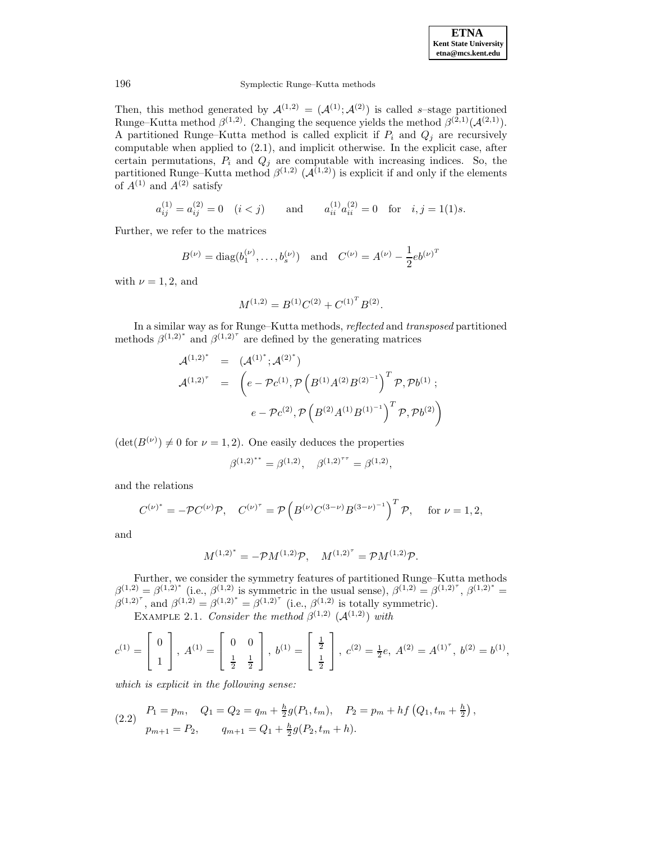

Then, this method generated by  $\mathcal{A}^{(1,2)} = (\mathcal{A}^{(1)}; \mathcal{A}^{(2)})$  is called s-stage partitioned Runge–Kutta method  $\beta^{(1,2)}$ . Changing the sequence yields the method  $\beta^{(2,1)}(\mathcal{A}^{(2,1)})$ . A partitioned Runge–Kutta method is called explicit if  $P_i$  and  $Q_j$  are recursively computable when applied to (2.1), and implicit otherwise. In the explicit case, after certain permutations,  $P_i$  and  $Q_j$  are computable with increasing indices. So, the partitioned Runge–Kutta method  $\beta^{(1,2)}$  ( $\mathcal{A}^{(1,2)}$ ) is explicit if and only if the elements of  $A^{(1)}$  and  $A^{(2)}$  satisfy

$$
a_{ij}^{(1)} = a_{ij}^{(2)} = 0
$$
  $(i < j)$  and  $a_{ii}^{(1)} a_{ii}^{(2)} = 0$  for  $i, j = 1(1)s$ .

Further, we refer to the matrices

$$
B^{(\nu)} = \text{diag}(b_1^{(\nu)}, \dots, b_s^{(\nu)})
$$
 and  $C^{(\nu)} = A^{(\nu)} - \frac{1}{2}eb^{(\nu)^T}$ 

with  $\nu = 1, 2$ , and

$$
M^{(1,2)} = B^{(1)}C^{(2)} + C^{(1)^T}B^{(2)}.
$$

In a similar way as for Runge–Kutta methods, reflected and transposed partitioned methods  $\beta^{(1,2)^*}$  and  $\beta^{(1,2)^*}$  are defined by the generating matrices

$$
\mathcal{A}^{(1,2)^*} = (\mathcal{A}^{(1)^*}; \mathcal{A}^{(2)^*})
$$
  

$$
\mathcal{A}^{(1,2)^*} = \left(e - \mathcal{P}c^{(1)}, \mathcal{P}\left(B^{(1)}A^{(2)}B^{(2)^{-1}}\right)^T \mathcal{P}, \mathcal{P}b^{(1)};
$$
  

$$
e - \mathcal{P}c^{(2)}, \mathcal{P}\left(B^{(2)}A^{(1)}B^{(1)^{-1}}\right)^T \mathcal{P}, \mathcal{P}b^{(2)}\right)
$$

 $(\det(B^{(\nu)}) \neq 0$  for  $\nu = 1, 2$ ). One easily deduces the properties

$$
\beta^{(1,2)^{**}} = \beta^{(1,2)}, \quad \beta^{(1,2)^{7\tau}} = \beta^{(1,2)},
$$

and the relations

$$
C^{(\nu)^*} = -\mathcal{P}C^{(\nu)}\mathcal{P}, \quad C^{(\nu)^{\tau}} = \mathcal{P}\left(B^{(\nu)}C^{(3-\nu)}B^{(3-\nu)^{-1}}\right)^T \mathcal{P}, \quad \text{ for } \nu = 1, 2,
$$

and

$$
M^{(1,2)^*} = -\mathcal{P}M^{(1,2)}\mathcal{P}, \quad M^{(1,2)^{\tau}} = \mathcal{P}M^{(1,2)}\mathcal{P}.
$$

Further, we consider the symmetry features of partitioned Runge–Kutta methods  $\beta^{(1,2)} = \beta^{(1,2)^*}$  (i.e.,  $\beta^{(1,2)}$  is symmetric in the usual sense),  $\beta^{(1,2)} = \beta^{(1,2)^*}$ ,  $\beta^{(1,2)^*} =$  $\beta^{(1,2)^{\tau}}$ , and  $\beta^{(1,2)} = \beta^{(1,2)^{*}} = \beta^{(1,2)^{\tau}}$  (i.e.,  $\beta^{(1,2)}$  is totally symmetric).

EXAMPLE 2.1. Consider the method  $\beta^{(1,2)}$  ( $\mathcal{A}^{(1,2)}$ ) with

$$
c^{(1)} = \begin{bmatrix} 0 \\ 1 \end{bmatrix}, A^{(1)} = \begin{bmatrix} 0 & 0 \\ \frac{1}{2} & \frac{1}{2} \end{bmatrix}, b^{(1)} = \begin{bmatrix} \frac{1}{2} \\ \frac{1}{2} \end{bmatrix}, c^{(2)} = \frac{1}{2}e, A^{(2)} = A^{(1)^{T}}, b^{(2)} = b^{(1)},
$$

which is explicit in the following sense:

(2.2) 
$$
P_1 = p_m, \quad Q_1 = Q_2 = q_m + \frac{h}{2}g(P_1, t_m), \quad P_2 = p_m + hf(Q_1, t_m + \frac{h}{2}),
$$

$$
p_{m+1} = P_2, \quad q_{m+1} = Q_1 + \frac{h}{2}g(P_2, t_m + h).
$$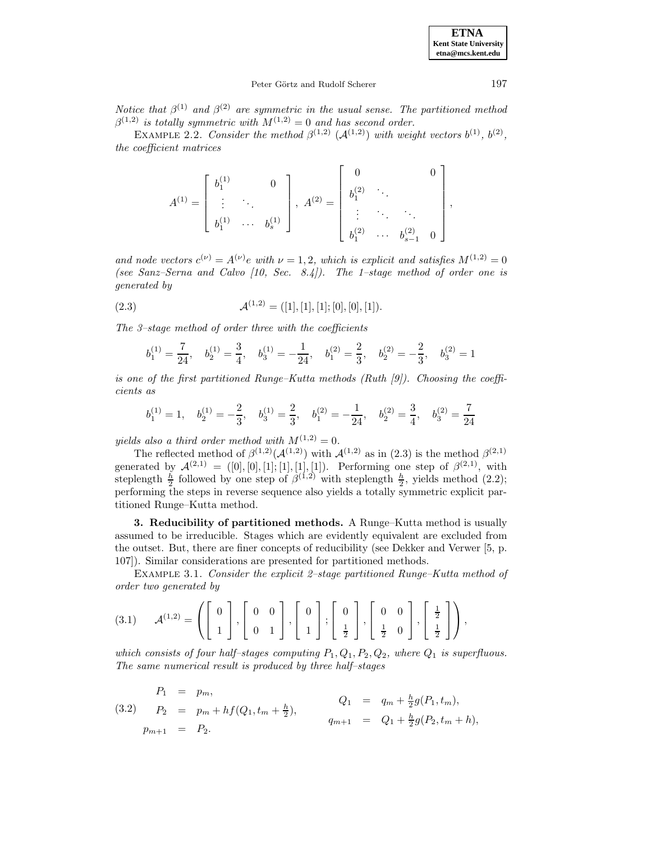**ETNA Kent State University etna@mcs.kent.edu**

### Peter Görtz and Rudolf Scherer 197

Notice that  $\beta^{(1)}$  and  $\beta^{(2)}$  are symmetric in the usual sense. The partitioned method  $\beta^{(1,2)}$  is totally symmetric with  $M^{(1,2)}=0$  and has second order.

EXAMPLE 2.2. Consider the method  $\beta^{(1,2)}$  ( $\mathcal{A}^{(1,2)}$ ) with weight vectors  $b^{(1)}$ ,  $b^{(2)}$ , the coefficient matrices

$$
A^{(1)} = \begin{bmatrix} b_1^{(1)} & 0 \\ \vdots & \ddots & \\ b_1^{(1)} & \cdots & b_s^{(1)} \end{bmatrix}, A^{(2)} = \begin{bmatrix} 0 & 0 \\ b_1^{(2)} & \ddots & \\ \vdots & \ddots & \ddots \\ b_1^{(2)} & \cdots & b_{s-1}^{(2)} & 0 \end{bmatrix},
$$

and node vectors  $c^{(\nu)} = A^{(\nu)}e$  with  $\nu = 1, 2$ , which is explicit and satisfies  $M^{(1,2)} = 0$ (see Sanz–Serna and Calvo [10, Sec. 8.4]). The 1–stage method of order one is generated by

(2.3) 
$$
\mathcal{A}^{(1,2)} = ([1],[1],[0],[0],[0],[1]).
$$

The 3–stage method of order three with the coefficients

$$
b_1^{(1)}=\frac{7}{24},\quad b_2^{(1)}=\frac{3}{4},\quad b_3^{(1)}=-\frac{1}{24},\quad b_1^{(2)}=\frac{2}{3},\quad b_2^{(2)}=-\frac{2}{3},\quad b_3^{(2)}=1
$$

is one of the first partitioned Runge–Kutta methods (Ruth [9]). Choosing the coefficients as

$$
b_1^{(1)}=1, \quad b_2^{(1)}=-\frac{2}{3}, \quad b_3^{(1)}=\frac{2}{3}, \quad b_1^{(2)}=-\frac{1}{24}, \quad b_2^{(2)}=\frac{3}{4}, \quad b_3^{(2)}=\frac{7}{24}
$$

yields also a third order method with  $M^{(1,2)} = 0$ .

The reflected method of  $\beta^{(1,2)}(\mathcal{A}^{(1,2)})$  with  $\mathcal{A}^{(1,2)}$  as in (2.3) is the method  $\beta^{(2,1)}$ generated by  $\mathcal{A}^{(2,1)} = ([0],[0],[1],[1],[1],[1]).$  Performing one step of  $\beta^{(2,1)}$ , with steplength  $\frac{h}{2}$  followed by one step of  $\beta^{(1,2)}$  with steplength  $\frac{h}{2}$ , yields method (2.2); performing the steps in reverse sequence also yields a totally symmetric explicit partitioned Runge–Kutta method.

**3. Reducibility of partitioned methods.** A Runge–Kutta method is usually assumed to be irreducible. Stages which are evidently equivalent are excluded from the outset. But, there are finer concepts of reducibility (see Dekker and Verwer [5, p. 107]). Similar considerations are presented for partitioned methods.

Example 3.1. Consider the explicit 2–stage partitioned Runge–Kutta method of order two generated by

$$
(3.1) \quad \mathcal{A}^{(1,2)} = \left( \left[ \begin{array}{c} 0 \\ 1 \end{array} \right], \left[ \begin{array}{cc} 0 & 0 \\ 0 & 1 \end{array} \right], \left[ \begin{array}{c} 0 \\ 1 \end{array} \right], \left[ \begin{array}{c} 0 \\ \frac{1}{2} \end{array} \right], \left[ \begin{array}{cc} 0 & 0 \\ \frac{1}{2} & 0 \end{array} \right], \left[ \begin{array}{c} \frac{1}{2} \\ \frac{1}{2} \end{array} \right] \right),
$$

which consists of four half-stages computing  $P_1, Q_1, P_2, Q_2$ , where  $Q_1$  is superfluous. The same numerical result is produced by three half–stages

(3.2) 
$$
P_1 = p_m
$$
,  
\n $P_2 = p_m + h f(Q_1, t_m + \frac{h}{2}),$   $Q_1 = q_m + \frac{h}{2} g(P_1, t_m),$   
\n $q_{m+1} = Q_1 + \frac{h}{2} g(P_2, t_m + h),$   
\n $p_{m+1} = P_2.$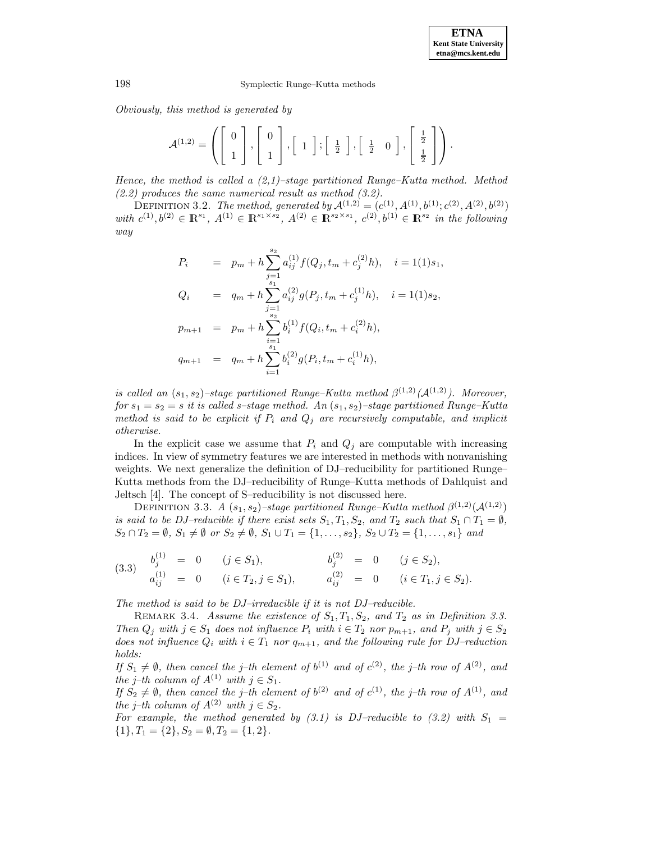Obviously, this method is generated by

$$
\mathcal{A}^{(1,2)} = \left( \left[ \begin{array}{c} 0 \\ 1 \end{array} \right], \left[ \begin{array}{c} 0 \\ 1 \end{array} \right], \left[ \begin{array}{c} 1 \end{array} \right]; \left[ \begin{array}{c} \frac{1}{2} \end{array} \right], \left[ \begin{array}{cc} \frac{1}{2} & 0 \end{array} \right], \left[ \begin{array}{c} \frac{1}{2} \\ \frac{1}{2} \end{array} \right] \right).
$$

Hence, the method is called a  $(2,1)$ -stage partitioned Runge–Kutta method. Method  $(2.2)$  produces the same numerical result as method  $(3.2)$ .

DEFINITION 3.2. The method, generated by  $\mathcal{A}^{(1,2)} = (c^{(1)}, A^{(1)}, b^{(1)}; c^{(2)}, A^{(2)}, b^{(2)})$ with  $c^{(1)},b^{(2)} \in \mathbb{R}^{s_1}$ ,  $A^{(1)} \in \mathbb{R}^{s_1 \times s_2}$ ,  $A^{(2)} \in \mathbb{R}^{s_2 \times s_1}$ ,  $c^{(2)},b^{(1)} \in \mathbb{R}^{s_2}$  in the following way

$$
P_i = p_m + h \sum_{j=1}^{s_2} a_{ij}^{(1)} f(Q_j, t_m + c_j^{(2)} h), \quad i = 1(1)s_1,
$$
  
\n
$$
Q_i = q_m + h \sum_{\substack{j=1 \ s_2}}^{s_1} a_{ij}^{(2)} g(P_j, t_m + c_j^{(1)} h), \quad i = 1(1)s_2,
$$
  
\n
$$
p_{m+1} = p_m + h \sum_{\substack{i=1 \ s_1}}^{s_1} b_i^{(1)} f(Q_i, t_m + c_i^{(2)} h),
$$
  
\n
$$
q_{m+1} = q_m + h \sum_{i=1}^{s_1} b_i^{(2)} g(P_i, t_m + c_i^{(1)} h),
$$

is called an  $(s_1, s_2)$ –stage partitioned Runge–Kutta method  $\beta^{(1,2)}(\mathcal{A}^{(1,2)})$ . Moreover, for  $s_1 = s_2 = s$  it is called s-stage method. An  $(s_1, s_2)$ -stage partitioned Runge–Kutta method is said to be explicit if  $P_i$  and  $Q_j$  are recursively computable, and implicit otherwise.

In the explicit case we assume that  $P_i$  and  $Q_j$  are computable with increasing indices. In view of symmetry features we are interested in methods with nonvanishing weights. We next generalize the definition of DJ–reducibility for partitioned Runge– Kutta methods from the DJ–reducibility of Runge–Kutta methods of Dahlquist and Jeltsch [4]. The concept of S–reducibility is not discussed here.

DEFINITION 3.3. A  $(s_1, s_2)$ –stage partitioned Runge–Kutta method  $\beta^{(1,2)}(\mathcal{A}^{(1,2)})$ is said to be DJ–reducible if there exist sets  $S_1, T_1, S_2$ , and  $T_2$  such that  $S_1 \cap T_1 = \emptyset$ ,  $S_2 \cap T_2 = \emptyset$ ,  $S_1 \neq \emptyset$  or  $S_2 \neq \emptyset$ ,  $S_1 \cup T_1 = \{1, \ldots, s_2\}$ ,  $S_2 \cup T_2 = \{1, \ldots, s_1\}$  and

$$
\begin{array}{rcl}\n(3.3) & b_j^{(1)} & = & 0 \\
a_{ij}^{(1)} & = & 0 \\
\end{array}\n\quad\n\begin{array}{rcl}\n(j \in S_1), & b_j^{(2)} & = & 0 \\
(i \in T_2, j \in S_1), & a_{ij}^{(2)} & = & 0 \\
(i \in T_1, j \in S_2).\n\end{array}
$$

The method is said to be DJ–irreducible if it is not DJ–reducible.

REMARK 3.4. Assume the existence of  $S_1, T_1, S_2$ , and  $T_2$  as in Definition 3.3. Then  $Q_j$  with  $j \in S_1$  does not influence  $P_i$  with  $i \in T_2$  nor  $p_{m+1}$ , and  $P_j$  with  $j \in S_2$ does not influence  $Q_i$  with  $i \in T_1$  nor  $q_{m+1}$ , and the following rule for DJ–reduction holds:

If  $S_1 \neq \emptyset$ , then cancel the j–th element of  $b^{(1)}$  and of  $c^{(2)}$ , the j–th row of  $A^{(2)}$ , and the j–th column of  $A^{(1)}$  with  $j \in S_1$ .

If  $S_2 \neq \emptyset$ , then cancel the j–th element of  $b^{(2)}$  and of  $c^{(1)}$ , the j–th row of  $A^{(1)}$ , and the j–th column of  $A^{(2)}$  with  $j \in S_2$ .

For example, the method generated by (3.1) is DJ-reducible to (3.2) with  $S_1$  =  ${1}, T_1 = {2}, S_2 = \emptyset, T_2 = {1, 2}.$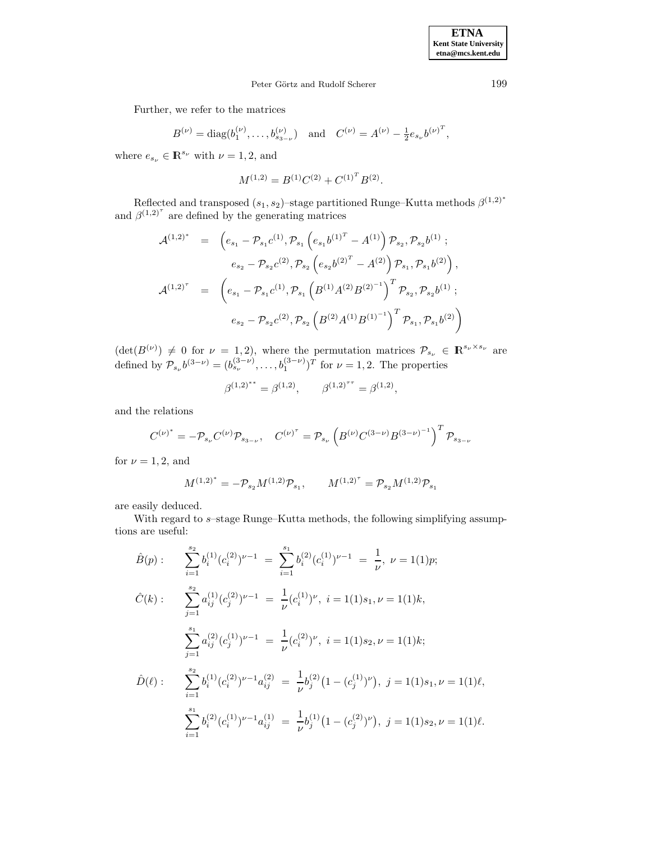# Peter Görtz and Rudolf Scherer 199

Further, we refer to the matrices

$$
B^{(\nu)} = \text{diag}(b_1^{(\nu)}, \dots, b_{s_{3-\nu}}^{(\nu)}) \quad \text{and} \quad C^{(\nu)} = A^{(\nu)} - \frac{1}{2} e_{s_{\nu}} b^{(\nu)^T},
$$

where  $e_{s_{\nu}} \in \mathbb{R}^{s_{\nu}}$  with  $\nu = 1, 2$ , and

$$
M^{(1,2)} = B^{(1)}C^{(2)} + C^{(1)^T}B^{(2)}.
$$

Reflected and transposed  $(s_1, s_2)$ –stage partitioned Runge–Kutta methods  $\beta^{(1,2)*}$ and  $\beta^{(1,2)^\tau}$  are defined by the generating matrices

$$
\mathcal{A}^{(1,2)^*} = \left( e_{s_1} - \mathcal{P}_{s_1} c^{(1)}, \mathcal{P}_{s_1} \left( e_{s_1} b^{(1)^T} - A^{(1)} \right) \mathcal{P}_{s_2}, \mathcal{P}_{s_2} b^{(1)} ;
$$
\n
$$
e_{s_2} - \mathcal{P}_{s_2} c^{(2)}, \mathcal{P}_{s_2} \left( e_{s_2} b^{(2)^T} - A^{(2)} \right) \mathcal{P}_{s_1}, \mathcal{P}_{s_1} b^{(2)} \right),
$$
\n
$$
\mathcal{A}^{(1,2)^T} = \left( e_{s_1} - \mathcal{P}_{s_1} c^{(1)}, \mathcal{P}_{s_1} \left( B^{(1)} A^{(2)} B^{(2)^{-1}} \right)^T \mathcal{P}_{s_2}, \mathcal{P}_{s_2} b^{(1)} ;
$$
\n
$$
e_{s_2} - \mathcal{P}_{s_2} c^{(2)}, \mathcal{P}_{s_2} \left( B^{(2)} A^{(1)} B^{(1)^{-1}} \right)^T \mathcal{P}_{s_1}, \mathcal{P}_{s_1} b^{(2)} \right)
$$

 $(\det(B^{(\nu)}) \neq 0$  for  $\nu = 1, 2)$ , where the permutation matrices  $\mathcal{P}_{s_{\nu}} \in \mathbb{R}^{s_{\nu} \times s_{\nu}}$  are defined by  $\mathcal{P}_{s_{\nu}}b^{(3-\nu)} = (b_{s_{\nu}}^{(3-\nu)}, \ldots, b_1^{(3-\nu)})^T$  for  $\nu = 1, 2$ . The properties

$$
\beta^{(1,2)^{**}} = \beta^{(1,2)}, \qquad \beta^{(1,2)^{**}} = \beta^{(1,2)},
$$

and the relations

$$
C^{(\nu)^*} = - \mathcal{P}_{s_{\nu}} C^{(\nu)} \mathcal{P}_{s_{3-\nu}}, \quad C^{(\nu)^{\tau}} = \mathcal{P}_{s_{\nu}} \left( B^{(\nu)} C^{(3-\nu)} B^{(3-\nu)^{-1}} \right)^T \mathcal{P}_{s_{3-\nu}}
$$

for  $\nu = 1, 2$ , and

$$
M^{(1,2)*} = -\mathcal{P}_{s_2} M^{(1,2)} \mathcal{P}_{s_1}, \qquad M^{(1,2)*} = \mathcal{P}_{s_2} M^{(1,2)} \mathcal{P}_{s_1}
$$

are easily deduced.

With regard to  $s$ –stage Runge–Kutta methods, the following simplifying assumptions are useful:

$$
\hat{B}(p): \sum_{i=1}^{s_2} b_i^{(1)} (c_i^{(2)})^{\nu-1} = \sum_{i=1}^{s_1} b_i^{(2)} (c_i^{(1)})^{\nu-1} = \frac{1}{\nu}, \ \nu = 1(1)p;
$$
\n
$$
\hat{C}(k): \sum_{j=1}^{s_2} a_{ij}^{(1)} (c_j^{(2)})^{\nu-1} = \frac{1}{\nu} (c_i^{(1)})^{\nu}, \ i = 1(1)s_1, \nu = 1(1)k,
$$
\n
$$
\sum_{j=1}^{s_1} a_{ij}^{(2)} (c_j^{(1)})^{\nu-1} = \frac{1}{\nu} (c_i^{(2)})^{\nu}, \ i = 1(1)s_2, \nu = 1(1)k;
$$
\n
$$
\hat{D}(\ell): \sum_{i=1}^{s_2} b_i^{(1)} (c_i^{(2)})^{\nu-1} a_{ij}^{(2)} = \frac{1}{\nu} b_i^{(2)} (1 - (c_j^{(1)})^{\nu}), \ j = 1(1)s_1, \nu = 1(1)\ell,
$$
\n
$$
\sum_{i=1}^{s_1} b_i^{(2)} (c_i^{(1)})^{\nu-1} a_{ij}^{(1)} = \frac{1}{\nu} b_j^{(1)} (1 - (c_j^{(2)})^{\nu}), \ j = 1(1)s_2, \nu = 1(1)\ell.
$$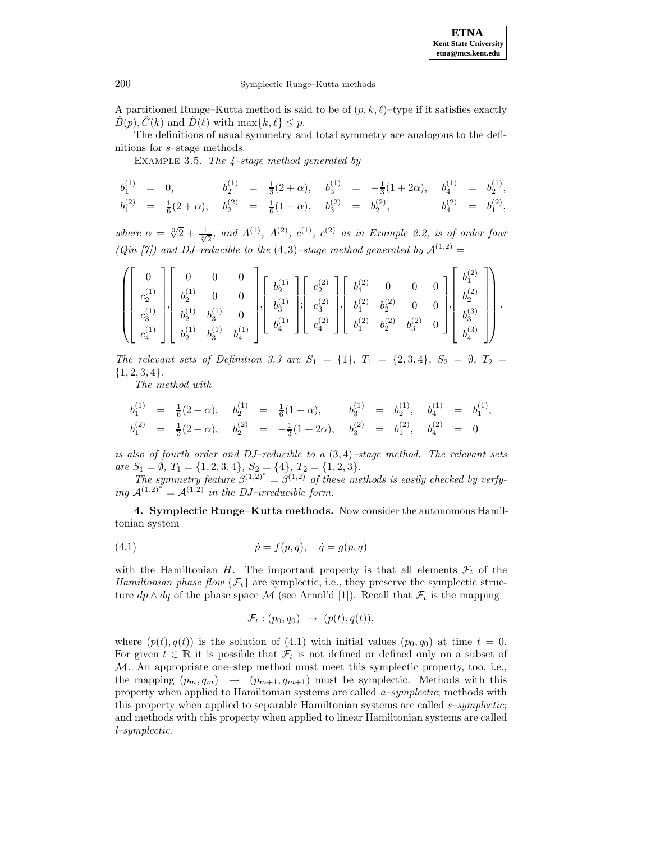**ETNA Kent State University etna@mcs.kent.edu**

A partitioned Runge–Kutta method is said to be of  $(p, k, \ell)$ –type if it satisfies exactly  $B(p), C(k)$  and  $D(\ell)$  with max{k,  $\ell$ }  $\leq p$ .

The definitions of usual symmetry and total symmetry are analogous to the definitions for s–stage methods.

EXAMPLE 3.5. The  $4$ -stage method generated by

$$
\begin{array}{ccccccccc} b_1^{(1)}&=&0,&b_2^{(1)}&=&\frac{1}{3}(2+\alpha),&b_3^{(1)}&=&-\frac{1}{3}(1+2\alpha),&b_4^{(1)}&=&b_2^{(1)},\\ b_1^{(2)}&=&\frac{1}{6}(2+\alpha),&b_2^{(2)}&=&\frac{1}{6}(1-\alpha),&b_3^{(2)}&=&b_2^{(2)},&b_4^{(2)}&=&b_1^{(2)}, \end{array}
$$

where  $\alpha = \sqrt[3]{2} + \frac{1}{\sqrt[3]{2}}$ , and  $A^{(1)}$ ,  $A^{(2)}$ ,  $c^{(1)}$ ,  $c^{(2)}$  as in Example 2.2, is of order four (Qin [7]) and DJ-reducible to the  $(4,3)$ -stage method generated by  $\mathcal{A}^{(1,2)}$  =

$$
\left(\left[\begin{array}{c} 0 \\ c_2^{(1)} \\ c_3^{(1)} \\ c_4^{(1)} \end{array}\right],\left[\begin{array}{cccc} 0 & 0 & 0 \\ b_2^{(1)} & 0 & 0 \\ b_2^{(1)} & b_3^{(1)} & 0 \\ b_3^{(1)} & b_4^{(1)} \end{array}\right],\left[\begin{array}{c} b_2^{(1)} \\ b_3^{(1)} \\ b_4^{(1)} \end{array}\right],\left[\begin{array}{c} c_2^{(2)} \\ c_2^{(2)} \\ c_3^{(2)} \\ c_4^{(2)} \end{array}\right],\left[\begin{array}{cc} b_1^{(2)} & 0 & 0 & 0 \\ b_1^{(2)} & b_2^{(2)} & 0 & 0 \\ b_2^{(2)} & b_3^{(2)} & 0 & 0 \\ b_4^{(2)} & b_2^{(2)} & b_3^{(2)} & 0 \end{array}\right],\left[\begin{array}{c} b_1^{(2)} \\ b_2^{(2)} \\ b_3^{(3)} \\ b_4^{(3)} \end{array}\right]\right).
$$

The relevant sets of Definition 3.3 are  $S_1 = \{1\}$ ,  $T_1 = \{2,3,4\}$ ,  $S_2 = \emptyset$ ,  $T_2 =$  ${1, 2, 3, 4}.$ 

The method with

$$
\begin{array}{rclcrcl} b_1^{(1)}&=&\frac{1}{6}(2+\alpha), & b_2^{(1)}&=&\frac{1}{6}(1-\alpha), & b_3^{(1)}&=&b_2^{(1)}, & b_4^{(1)}&=&b_1^{(1)},\\ b_1^{(2)}&=&\frac{1}{3}(2+\alpha), & b_2^{(2)}&=&-\frac{1}{3}(1+2\alpha), & b_3^{(2)}&=&b_1^{(2)}, & b_4^{(2)}&=&0 \end{array}
$$

is also of fourth order and DJ–reducible to a  $(3, 4)$ –stage method. The relevant sets are  $S_1 = \emptyset$ ,  $T_1 = \{1, 2, 3, 4\}$ ,  $S_2 = \{4\}$ ,  $T_2 = \{1, 2, 3\}$ .

The symmetry feature  $\beta^{(1,2)^*} = \beta^{(1,2)}$  of these methods is easily checked by verfying  $A^{(1,2)^*} = A^{(1,2)}$  in the DJ–irreducible form.

**4. Symplectic Runge–Kutta methods.** Now consider the autonomous Hamiltonian system

(4.1) 
$$
\dot{p} = f(p, q), \quad \dot{q} = g(p, q)
$$

with the Hamiltonian H. The important property is that all elements  $\mathcal{F}_t$  of the Hamiltonian phase flow  $\{\mathcal{F}_t\}$  are symplectic, i.e., they preserve the symplectic structure  $dp \wedge dq$  of the phase space M (see Arnol'd [1]). Recall that  $\mathcal{F}_t$  is the mapping

$$
\mathcal{F}_t: (p_0, q_0) \rightarrow (p(t), q(t)),
$$

where  $(p(t),q(t))$  is the solution of (4.1) with initial values  $(p_0,q_0)$  at time  $t=0$ . For given  $t \in \mathbb{R}$  it is possible that  $\mathcal{F}_t$  is not defined or defined only on a subset of  $M$ . An appropriate one–step method must meet this symplectic property, too, i.e., the mapping  $(p_m, q_m) \rightarrow (p_{m+1}, q_{m+1})$  must be symplectic. Methods with this property when applied to Hamiltonian systems are called  $a$ -symplectic; methods with this property when applied to separable Hamiltonian systems are called  $s$ -symplectic; and methods with this property when applied to linear Hamiltonian systems are called l–symplectic.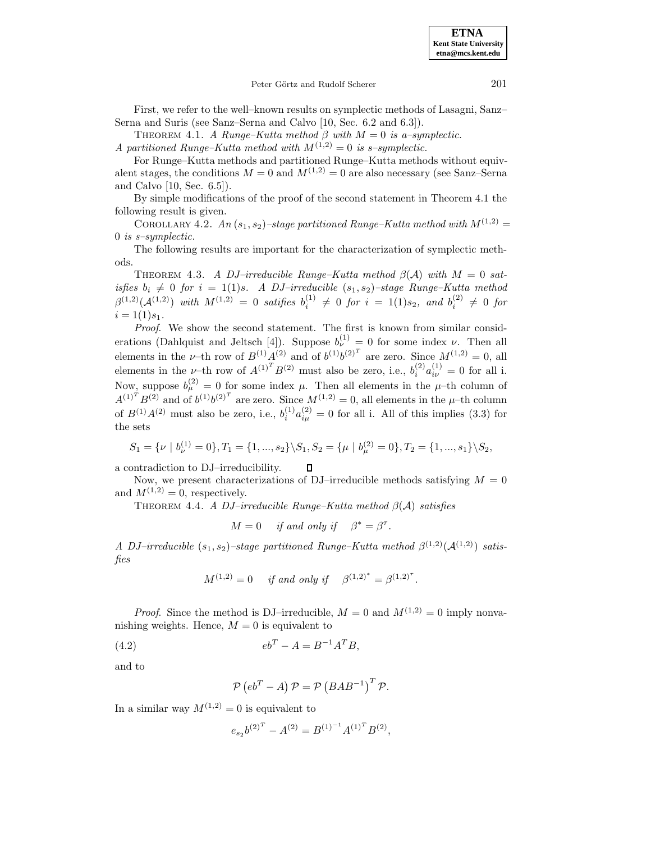### Peter Görtz and Rudolf Scherer 201

First, we refer to the well–known results on symplectic methods of Lasagni, Sanz– Serna and Suris (see Sanz–Serna and Calvo [10, Sec. 6.2 and 6.3]).

THEOREM 4.1. A Runge–Kutta method  $\beta$  with  $M = 0$  is a–symplectic.

A partitioned Runge–Kutta method with  $M^{(1,2)}=0$  is s–symplectic.

For Runge–Kutta methods and partitioned Runge–Kutta methods without equivalent stages, the conditions  $M = 0$  and  $M^{(1,2)} = 0$  are also necessary (see Sanz–Serna and Calvo [10, Sec. 6.5]).

By simple modifications of the proof of the second statement in Theorem 4.1 the following result is given.

COROLLARY 4.2. An  $(s_1, s_2)$ –stage partitioned Runge–Kutta method with  $M^{(1,2)}$  = 0 is s–symplectic.

The following results are important for the characterization of symplectic methods.

THEOREM 4.3. A DJ–irreducible Runge–Kutta method  $\beta(\mathcal{A})$  with  $M = 0$  satisfies  $b_i \neq 0$  for  $i = 1(1)s$ . A DJ-irreducible  $(s_1, s_2)$ -stage Runge–Kutta method  $\beta^{(1,2)}(\mathcal{A}^{(1,2)})$  with  $M^{(1,2)} = 0$  satifies  $b_i^{(1)} \neq 0$  for  $i = 1(1)s_2$ , and  $b_i^{(2)} \neq 0$  for  $i = 1(1)s_1$ .

Proof. We show the second statement. The first is known from similar considerations (Dahlquist and Jeltsch [4]). Suppose  $b_{\nu}^{(1)} = 0$  for some index  $\nu$ . Then all elements in the *v*-th row of  $B^{(1)}A^{(2)}$  and of  $b^{(1)}b^{(2)^{T}}$  are zero. Since  $M^{(1,2)} = 0$ , all elements in the *v*-th row of  $A^{(1)^T}B^{(2)}$  must also be zero, i.e.,  $b_i^{(2)}a_{i\nu}^{(1)}=0$  for all i. Now, suppose  $b_{\mu}^{(2)} = 0$  for some index  $\mu$ . Then all elements in the  $\mu$ -th column of  $A^{(1)^T}B^{(2)}$  and of  $b^{(1)}b^{(2)^T}$  are zero. Since  $M^{(1,2)} = 0$ , all elements in the  $\mu$ -th column of  $B^{(1)}A^{(2)}$  must also be zero, i.e.,  $b_i^{(1)}a_{i\mu}^{(2)}=0$  for all i. All of this implies (3.3) for the sets

$$
S_1 = \{ \nu \mid b_{\nu}^{(1)} = 0 \}, T_1 = \{ 1, ..., s_2 \} \setminus S_1, S_2 = \{ \mu \mid b_{\mu}^{(2)} = 0 \}, T_2 = \{ 1, ..., s_1 \} \setminus S_2,
$$

a contradiction to DJ–irreducibility.  $\Box$ 

Now, we present characterizations of DJ–irreducible methods satisfying  $M = 0$ and  $M^{(1,2)} = 0$ , respectively.

THEOREM 4.4. A DJ–irreducible Runge–Kutta method  $\beta(\mathcal{A})$  satisfies

 $M = 0$  if and only if  $\beta^* = \beta^{\tau}$ .

A DJ-irreducible  $(s_1, s_2)$ -stage partitioned Runge–Kutta method  $\beta^{(1,2)}(\mathcal{A}^{(1,2)})$  satisfies

$$
M^{(1,2)} = 0 \quad \text{ if and only if } \quad \beta^{(1,2)^*} = \beta^{(1,2)^*}.
$$

*Proof.* Since the method is DJ–irreducible,  $M = 0$  and  $M^{(1,2)} = 0$  imply nonvanishing weights. Hence,  $M = 0$  is equivalent to

(4.2) 
$$
eb^T - A = B^{-1}A^T B,
$$

and to

$$
\mathcal{P}\left(eb^{T}-A\right)\mathcal{P}=\mathcal{P}\left(BAB^{-1}\right)^{T}\mathcal{P}.
$$

In a similar way  $M^{(1,2)} = 0$  is equivalent to

$$
e_{s_2}b^{(2)^T} - A^{(2)} = B^{(1)^{-1}}A^{(1)^T}B^{(2)},
$$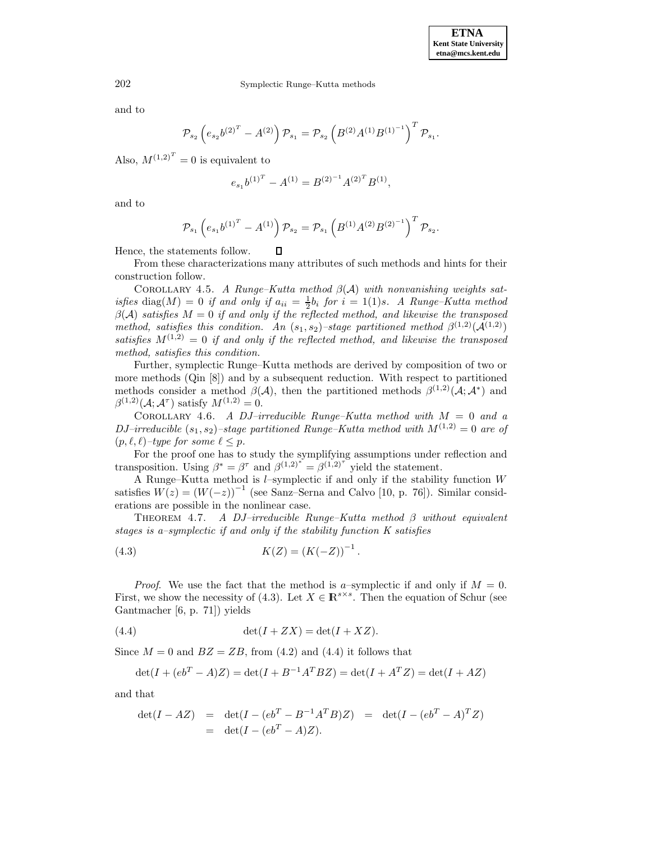and to

$$
\mathcal{P}_{s_2} \left( e_{s_2} b^{(2)^T} - A^{(2)} \right) \mathcal{P}_{s_1} = \mathcal{P}_{s_2} \left( B^{(2)} A^{(1)} B^{(1)^{-1}} \right)^T \mathcal{P}_{s_1}.
$$

Also,  $M^{(1,2)^T} = 0$  is equivalent to

$$
e_{s_1}b^{(1)^T} - A^{(1)} = B^{(2)^{-1}}A^{(2)^T}B^{(1)},
$$

and to

$$
\mathcal{P}_{s_1}\left(e_{s_1}b^{(1)^T}-A^{(1)}\right)\mathcal{P}_{s_2}=\mathcal{P}_{s_1}\left(B^{(1)}A^{(2)}B^{(2)^{-1}}\right)^T\mathcal{P}_{s_2}.
$$

Hence, the statements follow.

From these characterizations many attributes of such methods and hints for their construction follow.

 $\Box$ 

COROLLARY 4.5. A Runge–Kutta method  $\beta(\mathcal{A})$  with nonvanishing weights satisfies diag(M) = 0 if and only if  $a_{ii} = \frac{1}{2}b_i$  for  $i = 1(1)s$ . A Runge–Kutta method  $\beta(\mathcal{A})$  satisfies  $M = 0$  if and only if the reflected method, and likewise the transposed method, satisfies this condition. An  $(s_1, s_2)$ -stage partitioned method  $\beta^{(1,2)}(\mathcal{A}^{(1,2)})$ satisfies  $M^{(1,2)}=0$  if and only if the reflected method, and likewise the transposed method, satisfies this condition.

Further, symplectic Runge–Kutta methods are derived by composition of two or more methods (Qin [8]) and by a subsequent reduction. With respect to partitioned methods consider a method  $\beta(\mathcal{A})$ , then the partitioned methods  $\beta^{(1,2)}(\mathcal{A}; \mathcal{A}^*)$  and  $\beta^{(1,2)}(\mathcal{A}; \mathcal{A}^{\tau})$  satisfy  $M^{(1,2)} = 0$ .

COROLLARY 4.6. A DJ–irreducible Runge–Kutta method with  $M = 0$  and a DJ–irreducible  $(s_1, s_2)$ –stage partitioned Runge–Kutta method with  $M^{(1,2)} = 0$  are of  $(p,\ell,\ell)$ –type for some  $\ell \leq p$ .

For the proof one has to study the symplifying assumptions under reflection and transposition. Using  $\beta^* = \beta^{\tau}$  and  $\beta^{(1,2)^*} = \beta^{(1,2)^{\tau}}$  yield the statement.

A Runge–Kutta method is  $l$ –symplectic if and only if the stability function  $W$ satisfies  $W(z)=(W(-z))^{-1}$  (see Sanz–Serna and Calvo [10, p. 76]). Similar considerations are possible in the nonlinear case.

THEOREM 4.7. A DJ–irreducible Runge–Kutta method  $\beta$  without equivalent stages is a–symplectic if and only if the stability function K satisfies

(4.3) 
$$
K(Z) = (K(-Z))^{-1}.
$$

*Proof.* We use the fact that the method is a–symplectic if and only if  $M = 0$ . First, we show the necessity of (4.3). Let  $X \in \mathbb{R}^{s \times s}$ . Then the equation of Schur (see Gantmacher [6, p. 71]) yields

$$
(4.4) \qquad \det(I + ZX) = \det(I + XZ).
$$

Since  $M = 0$  and  $BZ = ZB$ , from (4.2) and (4.4) it follows that

$$
\det(I + (eb^T - A)Z) = \det(I + B^{-1}A^T BZ) = \det(I + A^T Z) = \det(I + AZ)
$$

and that

$$
det(I - AZ) = det(I - (ebT - B-1 AT B)Z) = det(I - (ebT - A)T Z)
$$
  
= det(I - (eb<sup>T</sup> - A)Z).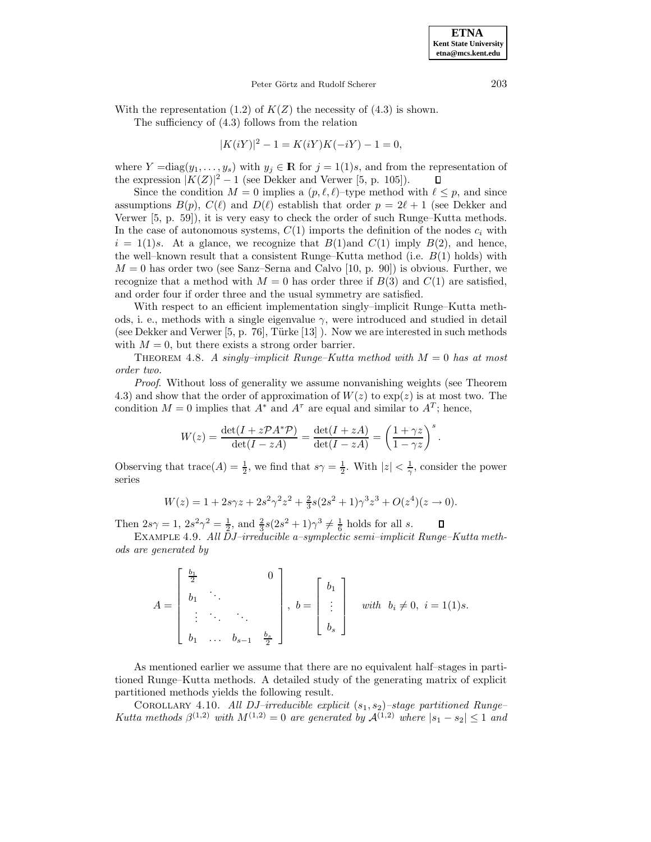# Peter Görtz and Rudolf Scherer 203

With the representation (1.2) of  $K(Z)$  the necessity of (4.3) is shown.

The sufficiency of (4.3) follows from the relation

$$
|K(iY)|^2 - 1 = K(iY)K(-iY) - 1 = 0,
$$

where  $Y = diag(y_1, \ldots, y_s)$  with  $y_j \in \mathbb{R}$  for  $j = 1(1)s$ , and from the representation of the expression  $|K(Z)|^2 - 1$  (see Dekker and Verwer [5, p. 105]).  $\mathsf{\Pi}$ 

Since the condition  $M = 0$  implies a  $(p,\ell,\ell)$ –type method with  $\ell \leq p$ , and since assumptions  $B(p)$ ,  $C(\ell)$  and  $D(\ell)$  establish that order  $p = 2\ell + 1$  (see Dekker and Verwer [5, p. 59]), it is very easy to check the order of such Runge–Kutta methods. In the case of autonomous systems,  $C(1)$  imports the definition of the nodes  $c_i$  with  $i = 1(1)s$ . At a glance, we recognize that  $B(1)$  and  $C(1)$  imply  $B(2)$ , and hence, the well–known result that a consistent Runge–Kutta method (i.e.  $B(1)$  holds) with  $M = 0$  has order two (see Sanz–Serna and Calvo [10, p. 90]) is obvious. Further, we recognize that a method with  $M = 0$  has order three if  $B(3)$  and  $C(1)$  are satisfied, and order four if order three and the usual symmetry are satisfied.

With respect to an efficient implementation singly–implicit Runge–Kutta methods, i. e., methods with a single eigenvalue  $\gamma$ , were introduced and studied in detail (see Dekker and Verwer  $[5, p. 76]$ , Türke  $[13]$ ). Now we are interested in such methods with  $M = 0$ , but there exists a strong order barrier.

THEOREM 4.8. A singly–implicit Runge–Kutta method with  $M = 0$  has at most order two.

Proof. Without loss of generality we assume nonvanishing weights (see Theorem 4.3) and show that the order of approximation of  $W(z)$  to  $\exp(z)$  is at most two. The condition  $M = 0$  implies that  $A^*$  and  $A^{\tau}$  are equal and similar to  $A^T$ ; hence,

$$
W(z) = \frac{\det(I + z\mathcal{P}A^*\mathcal{P})}{\det(I - zA)} = \frac{\det(I + zA)}{\det(I - zA)} = \left(\frac{1 + \gamma z}{1 - \gamma z}\right)^s.
$$

Observing that  $\text{trace}(A) = \frac{1}{2}$ , we find that  $s\gamma = \frac{1}{2}$ . With  $|z| < \frac{1}{\gamma}$ , consider the power series

$$
W(z) = 1 + 2s\gamma z + 2s^2\gamma^2 z^2 + \frac{2}{3}s(2s^2 + 1)\gamma^3 z^3 + O(z^4)(z \to 0).
$$

Then  $2s\gamma = 1$ ,  $2s^2\gamma^2 = \frac{1}{2}$ , and  $\frac{2}{3}s(2s^2 + 1)\gamma^3 \neq \frac{1}{6}$  holds for all s.

Example 4.9. All DJ–irreducible a–symplectic semi–implicit Runge–Kutta methods are generated by

$$
A = \begin{bmatrix} \frac{b_1}{2} & & 0 \\ b_1 & \ddots & & \\ \vdots & \ddots & \ddots & \\ b_1 & \dots & b_{s-1} & \frac{b_s}{2} \end{bmatrix}, \ b = \begin{bmatrix} b_1 \\ \vdots \\ b_s \end{bmatrix} \quad \text{with} \ b_i \neq 0, \ i = 1(1)s.
$$

As mentioned earlier we assume that there are no equivalent half–stages in partitioned Runge–Kutta methods. A detailed study of the generating matrix of explicit partitioned methods yields the following result.

COROLLARY 4.10. All DJ–irreducible explicit  $(s_1, s_2)$ –stage partitioned Runge– Kutta methods  $\beta^{(1,2)}$  with  $M^{(1,2)}=0$  are generated by  $\mathcal{A}^{(1,2)}$  where  $|s_1-s_2|\leq 1$  and